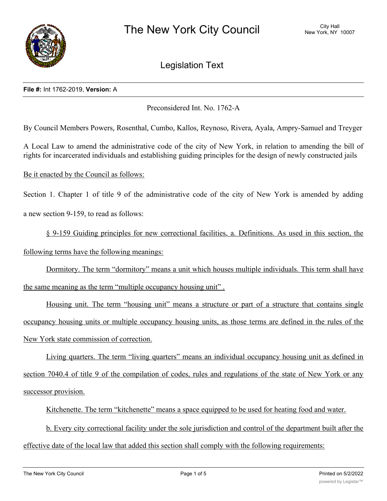

# Legislation Text

### **File #:** Int 1762-2019, **Version:** A

Preconsidered Int. No. 1762-A

By Council Members Powers, Rosenthal, Cumbo, Kallos, Reynoso, Rivera, Ayala, Ampry-Samuel and Treyger

A Local Law to amend the administrative code of the city of New York, in relation to amending the bill of rights for incarcerated individuals and establishing guiding principles for the design of newly constructed jails

Be it enacted by the Council as follows:

Section 1. Chapter 1 of title 9 of the administrative code of the city of New York is amended by adding a new section 9-159, to read as follows:

§ 9-159 Guiding principles for new correctional facilities. a. Definitions. As used in this section, the following terms have the following meanings:

Dormitory. The term "dormitory" means a unit which houses multiple individuals. This term shall have the same meaning as the term "multiple occupancy housing unit" .

Housing unit. The term "housing unit" means a structure or part of a structure that contains single occupancy housing units or multiple occupancy housing units, as those terms are defined in the rules of the New York state commission of correction.

Living quarters. The term "living quarters" means an individual occupancy housing unit as defined in section 7040.4 of title 9 of the compilation of codes, rules and regulations of the state of New York or any successor provision.

Kitchenette. The term "kitchenette" means a space equipped to be used for heating food and water.

b. Every city correctional facility under the sole jurisdiction and control of the department built after the effective date of the local law that added this section shall comply with the following requirements: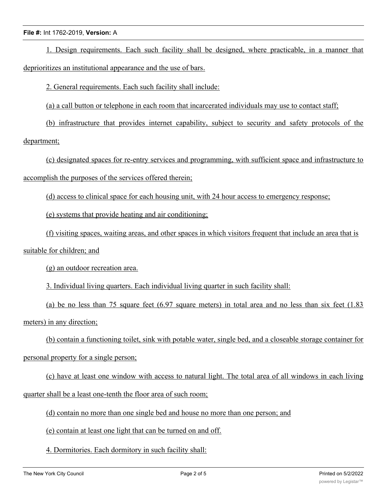1. Design requirements. Each such facility shall be designed, where practicable, in a manner that deprioritizes an institutional appearance and the use of bars.

2. General requirements. Each such facility shall include:

(a) a call button or telephone in each room that incarcerated individuals may use to contact staff;

(b) infrastructure that provides internet capability, subject to security and safety protocols of the department;

(c) designated spaces for re-entry services and programming, with sufficient space and infrastructure to accomplish the purposes of the services offered therein;

(d) access to clinical space for each housing unit, with 24 hour access to emergency response;

(e) systems that provide heating and air conditioning;

(f) visiting spaces, waiting areas, and other spaces in which visitors frequent that include an area that is suitable for children; and

(g) an outdoor recreation area.

3. Individual living quarters. Each individual living quarter in such facility shall:

(a) be no less than 75 square feet (6.97 square meters) in total area and no less than six feet (1.83 meters) in any direction;

(b) contain a functioning toilet, sink with potable water, single bed, and a closeable storage container for

## personal property for a single person;

(c) have at least one window with access to natural light. The total area of all windows in each living quarter shall be a least one-tenth the floor area of such room;

(d) contain no more than one single bed and house no more than one person; and

(e) contain at least one light that can be turned on and off.

4. Dormitories. Each dormitory in such facility shall: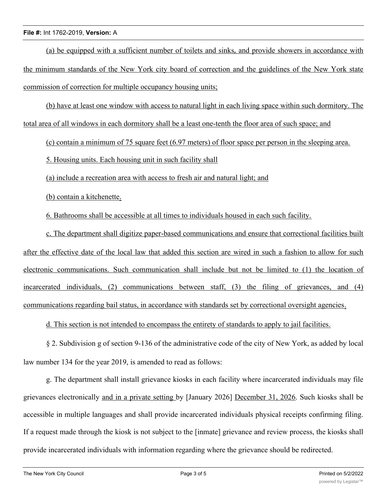(a) be equipped with a sufficient number of toilets and sinks, and provide showers in accordance with the minimum standards of the New York city board of correction and the guidelines of the New York state commission of correction for multiple occupancy housing units;

(b) have at least one window with access to natural light in each living space within such dormitory. The total area of all windows in each dormitory shall be a least one-tenth the floor area of such space; and

(c) contain a minimum of 75 square feet (6.97 meters) of floor space per person in the sleeping area.

5. Housing units. Each housing unit in such facility shall

(a) include a recreation area with access to fresh air and natural light; and

(b) contain a kitchenette.

6. Bathrooms shall be accessible at all times to individuals housed in each such facility.

c. The department shall digitize paper-based communications and ensure that correctional facilities built after the effective date of the local law that added this section are wired in such a fashion to allow for such electronic communications. Such communication shall include but not be limited to (1) the location of incarcerated individuals, (2) communications between staff, (3) the filing of grievances, and (4) communications regarding bail status, in accordance with standards set by correctional oversight agencies.

d. This section is not intended to encompass the entirety of standards to apply to jail facilities.

§ 2. Subdivision g of section 9-136 of the administrative code of the city of New York, as added by local law number 134 for the year 2019, is amended to read as follows:

g. The department shall install grievance kiosks in each facility where incarcerated individuals may file grievances electronically and in a private setting by [January 2026] December 31, 2026. Such kiosks shall be accessible in multiple languages and shall provide incarcerated individuals physical receipts confirming filing. If a request made through the kiosk is not subject to the [inmate] grievance and review process, the kiosks shall provide incarcerated individuals with information regarding where the grievance should be redirected.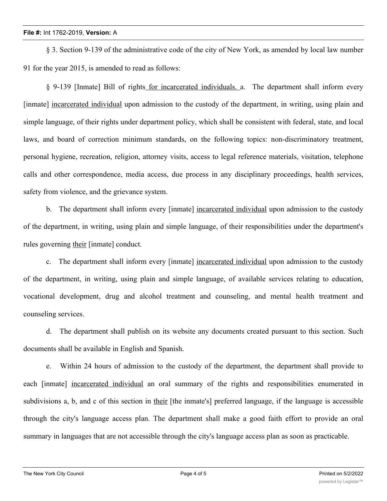§ 3. Section 9-139 of the administrative code of the city of New York, as amended by local law number 91 for the year 2015, is amended to read as follows:

§ 9-139 [Inmate] Bill of rights for incarcerated individuals. a. The department shall inform every [inmate] incarcerated individual upon admission to the custody of the department, in writing, using plain and simple language, of their rights under department policy, which shall be consistent with federal, state, and local laws, and board of correction minimum standards, on the following topics: non-discriminatory treatment, personal hygiene, recreation, religion, attorney visits, access to legal reference materials, visitation, telephone calls and other correspondence, media access, due process in any disciplinary proceedings, health services, safety from violence, and the grievance system.

b. The department shall inform every [inmate] incarcerated individual upon admission to the custody of the department, in writing, using plain and simple language, of their responsibilities under the department's rules governing their [inmate] conduct.

c. The department shall inform every [inmate] incarcerated individual upon admission to the custody of the department, in writing, using plain and simple language, of available services relating to education, vocational development, drug and alcohol treatment and counseling, and mental health treatment and counseling services.

d. The department shall publish on its website any documents created pursuant to this section. Such documents shall be available in English and Spanish.

e. Within 24 hours of admission to the custody of the department, the department shall provide to each [inmate] incarcerated individual an oral summary of the rights and responsibilities enumerated in subdivisions a, b, and c of this section in their [the inmate's] preferred language, if the language is accessible through the city's language access plan. The department shall make a good faith effort to provide an oral summary in languages that are not accessible through the city's language access plan as soon as practicable.